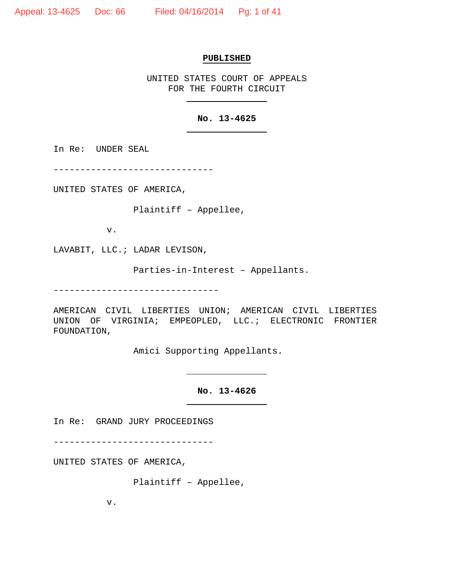### **PUBLISHED**

UNITED STATES COURT OF APPEALS FOR THE FOURTH CIRCUIT

# **No. 13-4625**

In Re: UNDER SEAL

------------------------------

UNITED STATES OF AMERICA,

Plaintiff – Appellee,

v.

LAVABIT, LLC.; LADAR LEVISON,

Parties-in-Interest – Appellants.

-------------------------------

AMERICAN CIVIL LIBERTIES UNION; AMERICAN CIVIL LIBERTIES UNION OF VIRGINIA; EMPEOPLED, LLC.; ELECTRONIC FRONTIER FOUNDATION,

Amici Supporting Appellants.

**No. 13-4626**

In Re: GRAND JURY PROCEEDINGS

------------------------------

UNITED STATES OF AMERICA,

Plaintiff – Appellee,

v.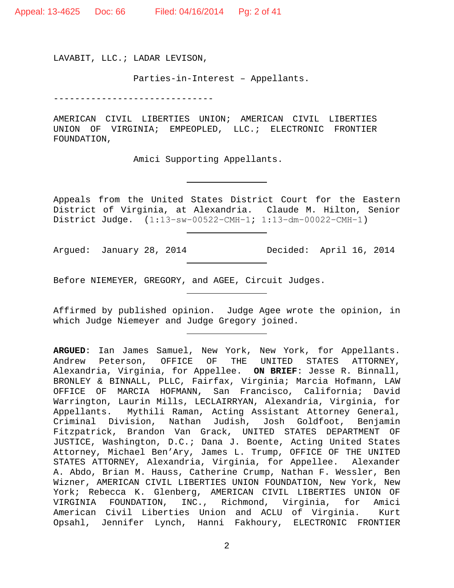Appeal: 13-4625 Doc: 66 Filed: 04/16/2014 Pg: 2 of 41

LAVABIT, LLC.; LADAR LEVISON,

Parties-in-Interest – Appellants.

------------------------------

AMERICAN CIVIL LIBERTIES UNION; AMERICAN CIVIL LIBERTIES UNION OF VIRGINIA; EMPEOPLED, LLC.; ELECTRONIC FRONTIER FOUNDATION,

Amici Supporting Appellants.

Appeals from the United States District Court for the Eastern District of Virginia, at Alexandria. Claude M. Hilton, Senior District Judge. (1:13−sw−00522−CMH−1; 1:13−dm−00022−CMH−1)

Argued: January 28, 2014 Decided: April 16, 2014

Before NIEMEYER, GREGORY, and AGEE, Circuit Judges.

Affirmed by published opinion. Judge Agee wrote the opinion, in which Judge Niemeyer and Judge Gregory joined.

**ARGUED**: Ian James Samuel, New York, New York, for Appellants. Andrew Peterson, OFFICE OF THE UNITED STATES ATTORNEY, Alexandria, Virginia, for Appellee. **ON BRIEF**: Jesse R. Binnall, BRONLEY & BINNALL, PLLC, Fairfax, Virginia; Marcia Hofmann, LAW OFFICE OF MARCIA HOFMANN, San Francisco, California; David Warrington, Laurin Mills, LECLAIRRYAN, Alexandria, Virginia, for Appellants. Mythili Raman, Acting Assistant Attorney General, Criminal Division, Nathan Judish, Josh Goldfoot, Benjamin Fitzpatrick, Brandon Van Grack, UNITED STATES DEPARTMENT OF JUSTICE, Washington, D.C.; Dana J. Boente, Acting United States Attorney, Michael Ben'Ary, James L. Trump, OFFICE OF THE UNITED STATES ATTORNEY, Alexandria, Virginia, for Appellee. A. Abdo, Brian M. Hauss, Catherine Crump, Nathan F. Wessler, Ben Wizner, AMERICAN CIVIL LIBERTIES UNION FOUNDATION, New York, New York; Rebecca K. Glenberg, AMERICAN CIVIL LIBERTIES UNION OF<br>VIRGINIA FOUNDATION, INC., Richmond, Virginia, for Amici VIRGINIA FOUNDATION, INC., Richmond, Virginia, for Amici American Civil Liberties Union and ACLU of Virginia. Opsahl, Jennifer Lynch, Hanni Fakhoury, ELECTRONIC FRONTIER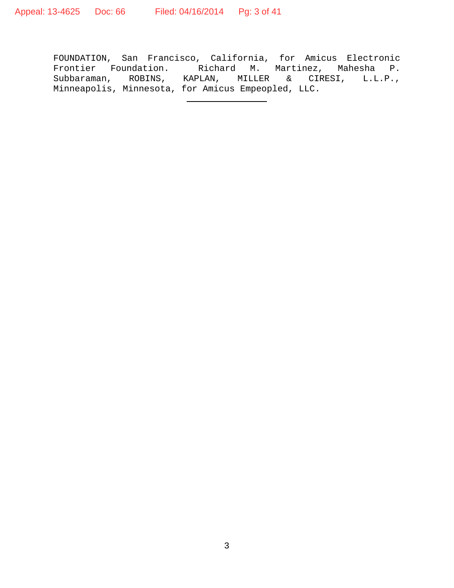FOUNDATION, San Francisco, California, for Amicus Electronic Frontier Foundation. Richard M. Martinez, Mahesha P. Subbaraman, ROBINS, KAPLAN, MILLER & CIRESI, L.L.P., Minneapolis, Minnesota, for Amicus Empeopled, LLC.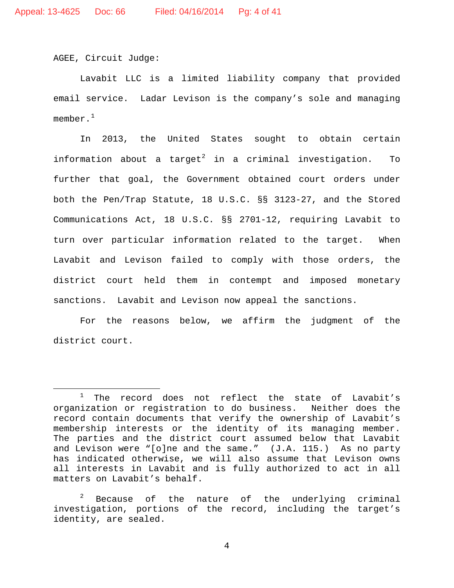AGEE, Circuit Judge:

Lavabit LLC is a limited liability company that provided email service. Ladar Levison is the company's sole and managing member. $^{\mathrm{1}}$ 

In 2013, the United States sought to obtain certain information about a target<sup>2</sup> in a criminal investigation. To further that goal, the Government obtained court orders under both the Pen/Trap Statute, 18 U.S.C. §§ 3123-27, and the Stored Communications Act, 18 U.S.C. §§ 2701-12, requiring Lavabit to turn over particular information related to the target. When Lavabit and Levison failed to comply with those orders, the district court held them in contempt and imposed monetary sanctions. Lavabit and Levison now appeal the sanctions.

For the reasons below, we affirm the judgment of the district court.

 $1$  The record does not reflect the state of Lavabit's organization or registration to do business. Neither does the record contain documents that verify the ownership of Lavabit's membership interests or the identity of its managing member. The parties and the district court assumed below that Lavabit and Levison were "[o]ne and the same." (J.A. 115.) As no party has indicated otherwise, we will also assume that Levison owns all interests in Lavabit and is fully authorized to act in all matters on Lavabit's behalf.

 $2^2$  Because of the nature of the underlying criminal investigation, portions of the record, including the target's identity, are sealed.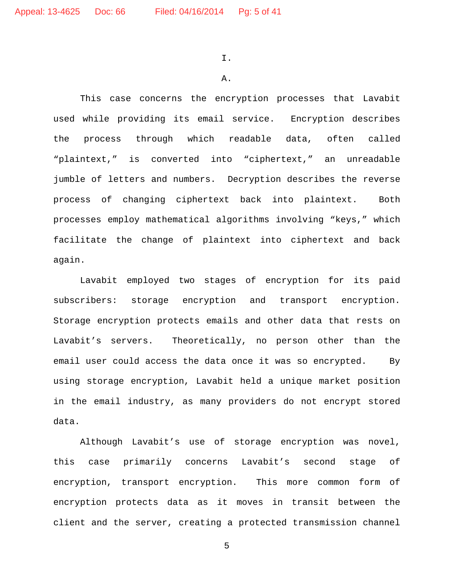I.

#### A.

This case concerns the encryption processes that Lavabit used while providing its email service. Encryption describes the process through which readable data, often called "plaintext," is converted into "ciphertext," an unreadable jumble of letters and numbers. Decryption describes the reverse process of changing ciphertext back into plaintext. Both processes employ mathematical algorithms involving "keys," which facilitate the change of plaintext into ciphertext and back again.

Lavabit employed two stages of encryption for its paid subscribers: storage encryption and transport encryption. Storage encryption protects emails and other data that rests on Lavabit's servers. Theoretically, no person other than the email user could access the data once it was so encrypted. By using storage encryption, Lavabit held a unique market position in the email industry, as many providers do not encrypt stored data.

Although Lavabit's use of storage encryption was novel, this case primarily concerns Lavabit's second stage of encryption, transport encryption. This more common form of encryption protects data as it moves in transit between the client and the server, creating a protected transmission channel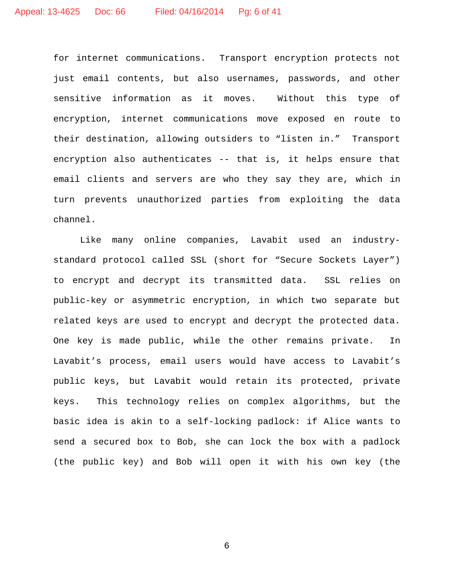for internet communications. Transport encryption protects not just email contents, but also usernames, passwords, and other sensitive information as it moves. Without this type of encryption, internet communications move exposed en route to their destination, allowing outsiders to "listen in." Transport encryption also authenticates -- that is, it helps ensure that email clients and servers are who they say they are, which in turn prevents unauthorized parties from exploiting the data channel.

Like many online companies, Lavabit used an industrystandard protocol called SSL (short for "Secure Sockets Layer") to encrypt and decrypt its transmitted data. SSL relies on public-key or asymmetric encryption, in which two separate but related keys are used to encrypt and decrypt the protected data. One key is made public, while the other remains private. In Lavabit's process, email users would have access to Lavabit's public keys, but Lavabit would retain its protected, private keys. This technology relies on complex algorithms, but the basic idea is akin to a self-locking padlock: if Alice wants to send a secured box to Bob, she can lock the box with a padlock (the public key) and Bob will open it with his own key (the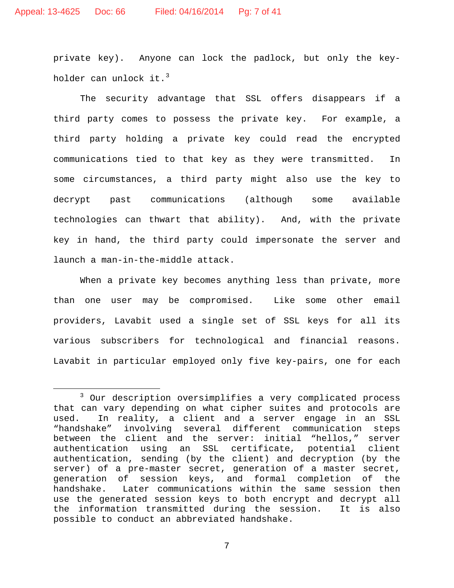private key). Anyone can lock the padlock, but only the keyholder can unlock it.<sup>3</sup>

The security advantage that SSL offers disappears if a third party comes to possess the private key. For example, a third party holding a private key could read the encrypted communications tied to that key as they were transmitted. In some circumstances, a third party might also use the key to decrypt past communications (although some available technologies can thwart that ability). And, with the private key in hand, the third party could impersonate the server and launch a man-in-the-middle attack.

When a private key becomes anything less than private, more than one user may be compromised. Like some other email providers, Lavabit used a single set of SSL keys for all its various subscribers for technological and financial reasons. Lavabit in particular employed only five key-pairs, one for each

 <sup>3</sup> Our description oversimplifies a very complicated process that can vary depending on what cipher suites and protocols are used. In reality, a client and a server engage in an SSL "handshake" involving several different communication steps between the client and the server: initial "hellos," server authentication using an SSL certificate, potential client authentication, sending (by the client) and decryption (by the server) of a pre-master secret, generation of a master secret, generation of session keys, and formal completion of the<br>handshake. Later communications within the same session then Later communications within the same session then use the generated session keys to both encrypt and decrypt all the information transmitted during the session. It is also possible to conduct an abbreviated handshake.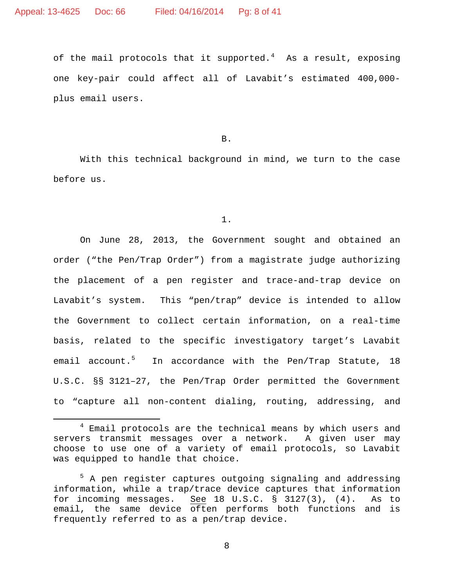of the mail protocols that it supported.<sup>4</sup> As a result, exposing one key-pair could affect all of Lavabit's estimated 400,000 plus email users.

B.

With this technical background in mind, we turn to the case before us.

1.

On June 28, 2013, the Government sought and obtained an order ("the Pen/Trap Order") from a magistrate judge authorizing the placement of a pen register and trace-and-trap device on Lavabit's system. This "pen/trap" device is intended to allow the Government to collect certain information, on a real-time basis, related to the specific investigatory target's Lavabit email account.<sup>5</sup> In accordance with the Pen/Trap Statute, 18 U.S.C. §§ 3121–27, the Pen/Trap Order permitted the Government to "capture all non-content dialing, routing, addressing, and

<sup>&</sup>lt;sup>4</sup> Email protocols are the technical means by which users and servers transmit messages over a network. A given user may choose to use one of a variety of email protocols, so Lavabit was equipped to handle that choice.

<sup>&</sup>lt;sup>5</sup> A pen register captures outgoing signaling and addressing information, while a trap/trace device captures that information for incoming messages. See 18 U.S.C. § 3127(3), (4). As to email, the same device often performs both functions and is frequently referred to as a pen/trap device.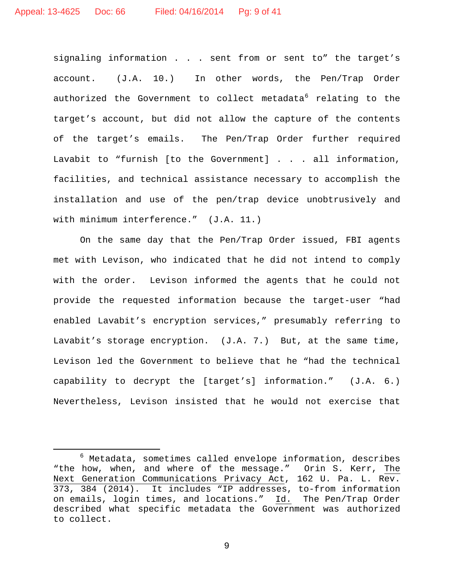signaling information . . . sent from or sent to" the target's account. (J.A. 10.) In other words, the Pen/Trap Order authorized the Government to collect metadata $6$  relating to the target's account, but did not allow the capture of the contents of the target's emails. The Pen/Trap Order further required Lavabit to "furnish [to the Government] . . . all information, facilities, and technical assistance necessary to accomplish the installation and use of the pen/trap device unobtrusively and with minimum interference." (J.A. 11.)

On the same day that the Pen/Trap Order issued, FBI agents met with Levison, who indicated that he did not intend to comply with the order. Levison informed the agents that he could not provide the requested information because the target-user "had enabled Lavabit's encryption services," presumably referring to Lavabit's storage encryption. (J.A. 7.) But, at the same time, Levison led the Government to believe that he "had the technical capability to decrypt the [target's] information." (J.A. 6.) Nevertheless, Levison insisted that he would not exercise that

 $6$  Metadata, sometimes called envelope information, describes "the how, when, and where of the message." Orin S. Kerr, The Next Generation Communications Privacy Act, 162 U. Pa. L. Rev. 373, 384 (2014). It includes "IP addresses, to-from information on emails, login times, and locations." Id. The Pen/Trap Order described what specific metadata the Government was authorized to collect.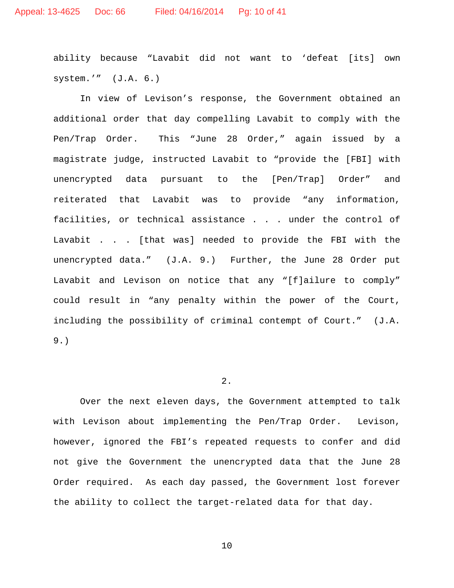ability because "Lavabit did not want to 'defeat [its] own system.'" (J.A. 6.)

In view of Levison's response, the Government obtained an additional order that day compelling Lavabit to comply with the Pen/Trap Order. This "June 28 Order," again issued by a magistrate judge, instructed Lavabit to "provide the [FBI] with unencrypted data pursuant to the [Pen/Trap] Order" and reiterated that Lavabit was to provide "any information, facilities, or technical assistance . . . under the control of Lavabit . . . [that was] needed to provide the FBI with the unencrypted data." (J.A. 9.) Further, the June 28 Order put Lavabit and Levison on notice that any "[f]ailure to comply" could result in "any penalty within the power of the Court, including the possibility of criminal contempt of Court." (J.A. 9.)

# 2.

Over the next eleven days, the Government attempted to talk with Levison about implementing the Pen/Trap Order. Levison, however, ignored the FBI's repeated requests to confer and did not give the Government the unencrypted data that the June 28 Order required. As each day passed, the Government lost forever the ability to collect the target-related data for that day.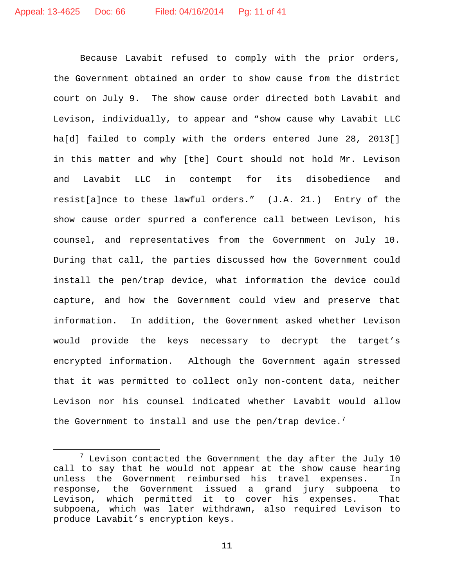Because Lavabit refused to comply with the prior orders, the Government obtained an order to show cause from the district court on July 9. The show cause order directed both Lavabit and Levison, individually, to appear and "show cause why Lavabit LLC ha[d] failed to comply with the orders entered June 28, 2013[] in this matter and why [the] Court should not hold Mr. Levison and Lavabit LLC in contempt for its disobedience and resist[a]nce to these lawful orders." (J.A. 21.) Entry of the show cause order spurred a conference call between Levison, his counsel, and representatives from the Government on July 10. During that call, the parties discussed how the Government could install the pen/trap device, what information the device could capture, and how the Government could view and preserve that information. In addition, the Government asked whether Levison would provide the keys necessary to decrypt the target's encrypted information. Although the Government again stressed that it was permitted to collect only non-content data, neither Levison nor his counsel indicated whether Lavabit would allow the Government to install and use the pen/trap device.<sup>7</sup>

 $7$  Levison contacted the Government the day after the July 10 call to say that he would not appear at the show cause hearing unless the Government reimbursed his travel expenses. In response, the Government issued a grand jury subpoena to Levison, which permitted it to cover his expenses. That subpoena, which was later withdrawn, also required Levison to produce Lavabit's encryption keys.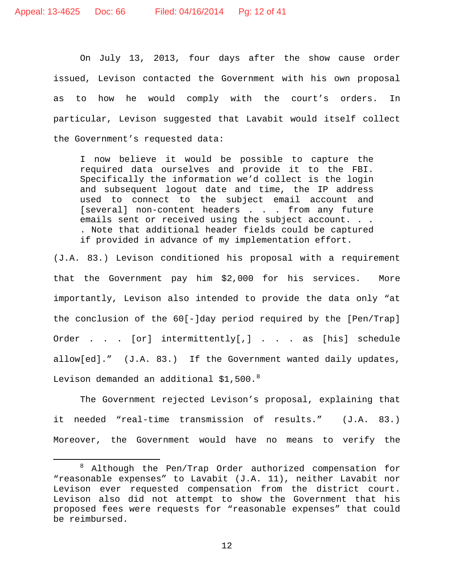On July 13, 2013, four days after the show cause order issued, Levison contacted the Government with his own proposal as to how he would comply with the court's orders. In particular, Levison suggested that Lavabit would itself collect the Government's requested data:

I now believe it would be possible to capture the required data ourselves and provide it to the FBI. Specifically the information we'd collect is the login and subsequent logout date and time, the IP address used to connect to the subject email account and [several] non-content headers . . . from any future emails sent or received using the subject account. . . . Note that additional header fields could be captured if provided in advance of my implementation effort.

(J.A. 83.) Levison conditioned his proposal with a requirement that the Government pay him \$2,000 for his services. More importantly, Levison also intended to provide the data only "at the conclusion of the 60[-]day period required by the [Pen/Trap] Order . . . [or] intermittently[,] . . . as [his] schedule allow[ed]." (J.A. 83.) If the Government wanted daily updates, Levison demanded an additional  $$1,500.^8$ 

The Government rejected Levison's proposal, explaining that it needed "real-time transmission of results." (J.A. 83.) Moreover, the Government would have no means to verify the

 <sup>8</sup> Although the Pen/Trap Order authorized compensation for "reasonable expenses" to Lavabit (J.A. 11), neither Lavabit nor Levison ever requested compensation from the district court. Levison also did not attempt to show the Government that his proposed fees were requests for "reasonable expenses" that could be reimbursed.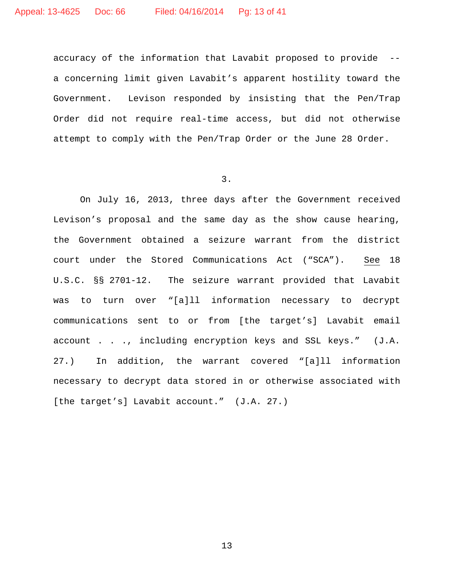accuracy of the information that Lavabit proposed to provide - a concerning limit given Lavabit's apparent hostility toward the Government. Levison responded by insisting that the Pen/Trap Order did not require real-time access, but did not otherwise attempt to comply with the Pen/Trap Order or the June 28 Order.

3.

On July 16, 2013, three days after the Government received Levison's proposal and the same day as the show cause hearing, the Government obtained a seizure warrant from the district court under the Stored Communications Act ("SCA"). See 18 U.S.C. §§ 2701-12. The seizure warrant provided that Lavabit was to turn over "[a]ll information necessary to decrypt communications sent to or from [the target's] Lavabit email account . . ., including encryption keys and SSL keys." (J.A. 27.) In addition, the warrant covered "[a]ll information necessary to decrypt data stored in or otherwise associated with [the target's] Lavabit account." (J.A. 27.)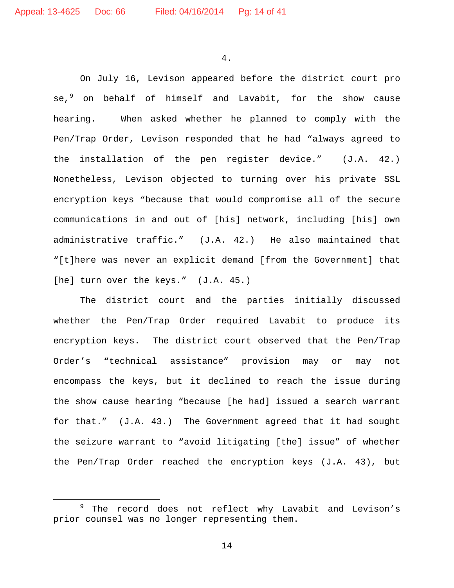4.

On July 16, Levison appeared before the district court pro se,<sup>9</sup> on behalf of himself and Lavabit, for the show cause hearing. When asked whether he planned to comply with the Pen/Trap Order, Levison responded that he had "always agreed to the installation of the pen register device." (J.A. 42.) Nonetheless, Levison objected to turning over his private SSL encryption keys "because that would compromise all of the secure communications in and out of [his] network, including [his] own administrative traffic." (J.A. 42.) He also maintained that "[t]here was never an explicit demand [from the Government] that [he] turn over the keys." (J.A. 45.)

The district court and the parties initially discussed whether the Pen/Trap Order required Lavabit to produce its encryption keys. The district court observed that the Pen/Trap Order's "technical assistance" provision may or may not encompass the keys, but it declined to reach the issue during the show cause hearing "because [he had] issued a search warrant for that." (J.A. 43.) The Government agreed that it had sought the seizure warrant to "avoid litigating [the] issue" of whether the Pen/Trap Order reached the encryption keys (J.A. 43), but

<sup>&</sup>lt;sup>9</sup> The record does not reflect why Lavabit and Levison's prior counsel was no longer representing them.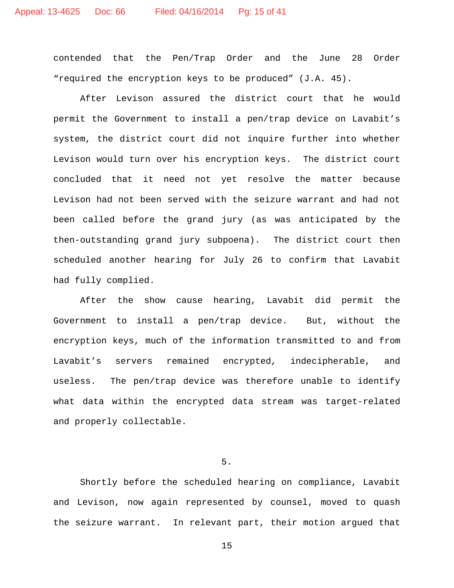contended that the Pen/Trap Order and the June 28 Order "required the encryption keys to be produced" (J.A. 45).

After Levison assured the district court that he would permit the Government to install a pen/trap device on Lavabit's system, the district court did not inquire further into whether Levison would turn over his encryption keys. The district court concluded that it need not yet resolve the matter because Levison had not been served with the seizure warrant and had not been called before the grand jury (as was anticipated by the then-outstanding grand jury subpoena). The district court then scheduled another hearing for July 26 to confirm that Lavabit had fully complied.

After the show cause hearing, Lavabit did permit the Government to install a pen/trap device. But, without the encryption keys, much of the information transmitted to and from Lavabit's servers remained encrypted, indecipherable, and useless. The pen/trap device was therefore unable to identify what data within the encrypted data stream was target-related and properly collectable.

5.

Shortly before the scheduled hearing on compliance, Lavabit and Levison, now again represented by counsel, moved to quash the seizure warrant. In relevant part, their motion argued that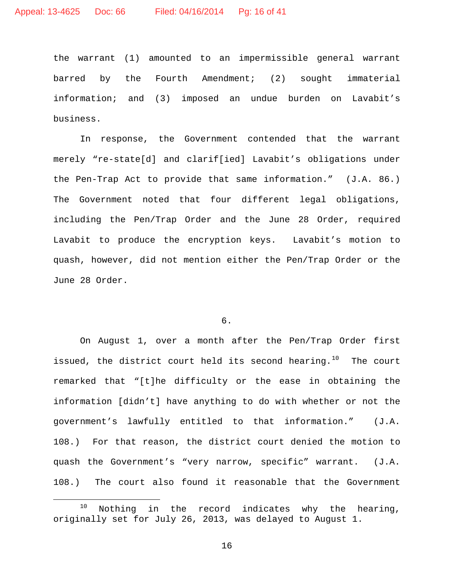the warrant (1) amounted to an impermissible general warrant barred by the Fourth Amendment; (2) sought immaterial information; and (3) imposed an undue burden on Lavabit's business.

In response, the Government contended that the warrant merely "re-state[d] and clarif[ied] Lavabit's obligations under the Pen-Trap Act to provide that same information." (J.A. 86.) The Government noted that four different legal obligations, including the Pen/Trap Order and the June 28 Order, required Lavabit to produce the encryption keys. Lavabit's motion to quash, however, did not mention either the Pen/Trap Order or the June 28 Order.

# 6.

On August 1, over a month after the Pen/Trap Order first issued, the district court held its second hearing.<sup>10</sup> The court remarked that "[t]he difficulty or the ease in obtaining the information [didn't] have anything to do with whether or not the government's lawfully entitled to that information." (J.A. 108.) For that reason, the district court denied the motion to quash the Government's "very narrow, specific" warrant. (J.A. 108.) The court also found it reasonable that the Government

<sup>10</sup> Nothing in the record indicates why the hearing, originally set for July 26, 2013, was delayed to August 1.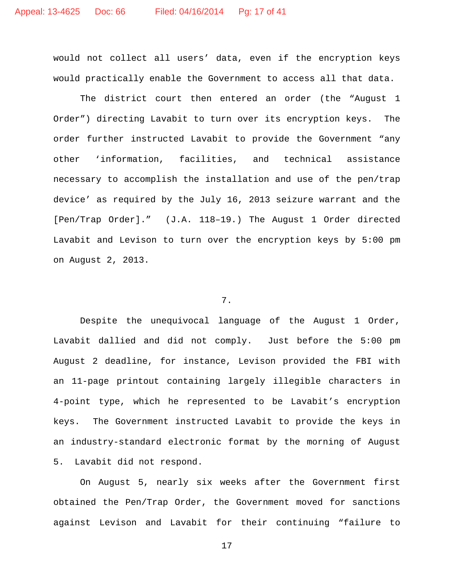would not collect all users' data, even if the encryption keys would practically enable the Government to access all that data.

The district court then entered an order (the "August 1 Order") directing Lavabit to turn over its encryption keys. The order further instructed Lavabit to provide the Government "any other 'information, facilities, and technical assistance necessary to accomplish the installation and use of the pen/trap device' as required by the July 16, 2013 seizure warrant and the [Pen/Trap Order]." (J.A. 118–19.) The August 1 Order directed Lavabit and Levison to turn over the encryption keys by 5:00 pm on August 2, 2013.

# 7.

Despite the unequivocal language of the August 1 Order, Lavabit dallied and did not comply. Just before the 5:00 pm August 2 deadline, for instance, Levison provided the FBI with an 11-page printout containing largely illegible characters in 4-point type, which he represented to be Lavabit's encryption keys. The Government instructed Lavabit to provide the keys in an industry-standard electronic format by the morning of August 5. Lavabit did not respond.

On August 5, nearly six weeks after the Government first obtained the Pen/Trap Order, the Government moved for sanctions against Levison and Lavabit for their continuing "failure to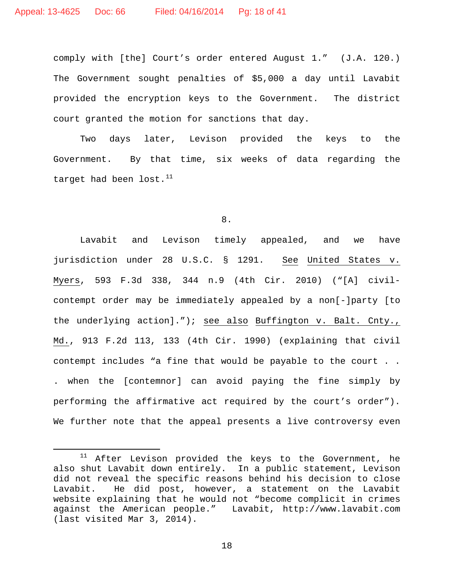comply with [the] Court's order entered August 1." (J.A. 120.) The Government sought penalties of \$5,000 a day until Lavabit provided the encryption keys to the Government. The district court granted the motion for sanctions that day.

Two days later, Levison provided the keys to the Government. By that time, six weeks of data regarding the target had been  $\text{lost.}^{11}$ 

### 8.

Lavabit and Levison timely appealed, and we have jurisdiction under 28 U.S.C. § 1291. See United States v. Myers, 593 F.3d 338, 344 n.9 (4th Cir. 2010) ("[A] civilcontempt order may be immediately appealed by a non[-]party [to the underlying action]."); see also Buffington v. Balt. Cnty., Md., 913 F.2d 113, 133 (4th Cir. 1990) (explaining that civil contempt includes "a fine that would be payable to the court . . . when the [contemnor] can avoid paying the fine simply by performing the affirmative act required by the court's order"). We further note that the appeal presents a live controversy even

 $11$  After Levison provided the keys to the Government, he also shut Lavabit down entirely. In a public statement, Levison did not reveal the specific reasons behind his decision to close Lavabit. He did post, however, a statement on the Lavabit website explaining that he would not "become complicit in crimes against the American people." Lavabit, http://www.lavabit.com (last visited Mar 3, 2014).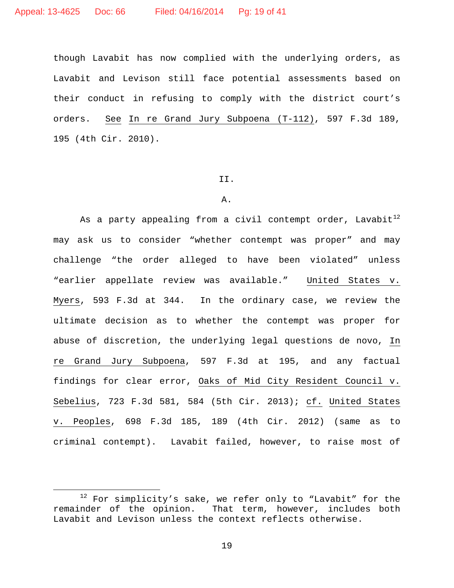though Lavabit has now complied with the underlying orders, as Lavabit and Levison still face potential assessments based on their conduct in refusing to comply with the district court's orders. See In re Grand Jury Subpoena (T-112), 597 F.3d 189, 195 (4th Cir. 2010).

#### II.

### A.

As a party appealing from a civil contempt order, Lavabit $^{12}$ may ask us to consider "whether contempt was proper" and may challenge "the order alleged to have been violated" unless "earlier appellate review was available." United States v. Myers, 593 F.3d at 344. In the ordinary case, we review the ultimate decision as to whether the contempt was proper for abuse of discretion, the underlying legal questions de novo, In re Grand Jury Subpoena, 597 F.3d at 195, and any factual findings for clear error, Oaks of Mid City Resident Council v. Sebelius, 723 F.3d 581, 584 (5th Cir. 2013); cf. United States v. Peoples, 698 F.3d 185, 189 (4th Cir. 2012) (same as to criminal contempt). Lavabit failed, however, to raise most of

<sup>&</sup>lt;sup>12</sup> For simplicity's sake, we refer only to "Lavabit" for the remainder of the opinion. That term, however, includes both That term, however, includes both Lavabit and Levison unless the context reflects otherwise.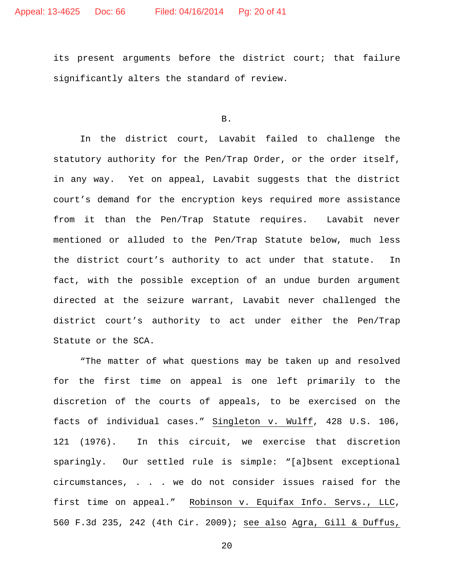its present arguments before the district court; that failure significantly alters the standard of review.

B.

In the district court, Lavabit failed to challenge the statutory authority for the Pen/Trap Order, or the order itself, in any way. Yet on appeal, Lavabit suggests that the district court's demand for the encryption keys required more assistance from it than the Pen/Trap Statute requires. Lavabit never mentioned or alluded to the Pen/Trap Statute below, much less the district court's authority to act under that statute. In fact, with the possible exception of an undue burden argument directed at the seizure warrant, Lavabit never challenged the district court's authority to act under either the Pen/Trap Statute or the SCA.

"The matter of what questions may be taken up and resolved for the first time on appeal is one left primarily to the discretion of the courts of appeals, to be exercised on the facts of individual cases." Singleton v. Wulff, 428 U.S. 106, 121 (1976). In this circuit, we exercise that discretion sparingly. Our settled rule is simple: "[a]bsent exceptional circumstances, . . . we do not consider issues raised for the first time on appeal." Robinson v. Equifax Info. Servs., LLC, 560 F.3d 235, 242 (4th Cir. 2009); see also Agra, Gill & Duffus,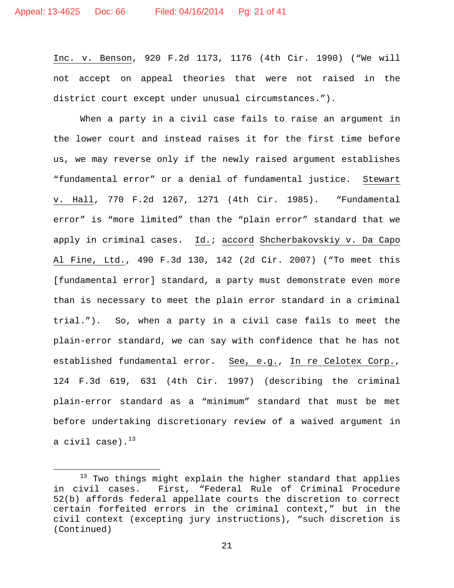Inc. v. Benson, 920 F.2d 1173, 1176 (4th Cir. 1990) ("We will not accept on appeal theories that were not raised in the district court except under unusual circumstances.").

When a party in a civil case fails to raise an argument in the lower court and instead raises it for the first time before us, we may reverse only if the newly raised argument establishes "fundamental error" or a denial of fundamental justice. Stewart v. Hall, 770 F.2d 1267, 1271 (4th Cir. 1985). "Fundamental error" is "more limited" than the "plain error" standard that we apply in criminal cases. Id.: accord Shcherbakovskiy v. Da Capo Al Fine, Ltd., 490 F.3d 130, 142 (2d Cir. 2007) ("To meet this [fundamental error] standard, a party must demonstrate even more than is necessary to meet the plain error standard in a criminal trial."). So, when a party in a civil case fails to meet the plain-error standard, we can say with confidence that he has not established fundamental error. See, e.g., In re Celotex Corp., 124 F.3d 619, 631 (4th Cir. 1997) (describing the criminal plain-error standard as a "minimum" standard that must be met before undertaking discretionary review of a waived argument in a civil case). $^{13}$ 

<sup>&</sup>lt;sup>13</sup> Two things might explain the higher standard that applies<br>in civil cases. First, "Federal Rule of Criminal Procedure First, "Federal Rule of Criminal Procedure 52(b) affords federal appellate courts the discretion to correct certain forfeited errors in the criminal context," but in the civil context (excepting jury instructions), "such discretion is (Continued)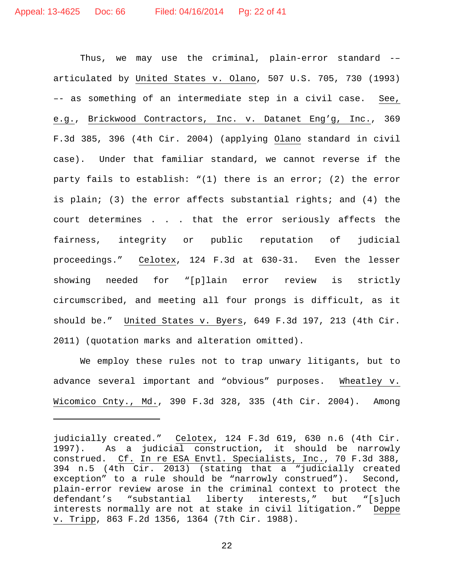Ĩ.

Thus, we may use the criminal, plain-error standard -– articulated by United States v. Olano, 507 U.S. 705, 730 (1993) –- as something of an intermediate step in a civil case. See, e.g., Brickwood Contractors, Inc. v. Datanet Eng'g, Inc., 369 F.3d 385, 396 (4th Cir. 2004) (applying Olano standard in civil case). Under that familiar standard, we cannot reverse if the party fails to establish: "(1) there is an error; (2) the error is plain; (3) the error affects substantial rights; and (4) the court determines . . . that the error seriously affects the fairness, integrity or public reputation of judicial proceedings." Celotex, 124 F.3d at 630-31. Even the lesser showing needed for "[p]lain error review is strictly circumscribed, and meeting all four prongs is difficult, as it should be." United States v. Byers, 649 F.3d 197, 213 (4th Cir. 2011) (quotation marks and alteration omitted).

We employ these rules not to trap unwary litigants, but to advance several important and "obvious" purposes. Wheatley v. Wicomico Cnty., Md., 390 F.3d 328, 335 (4th Cir. 2004). Among

judicially created." Celotex, 124 F.3d 619, 630 n.6 (4th Cir. 1997). As a judicial construction, it should be narrowly construed. Cf. In re ESA Envtl. Specialists, Inc., 70 F.3d 388, 394 n.5 (4th Cir. 2013) (stating that a "judicially created exception" to a rule should be "narrowly construed"). Second, plain-error review arose in the criminal context to protect the<br>defendant's "substantial liberty interests," but "[s]uch "substantial liberty interests," but "[s]uch interests normally are not at stake in civil litigation." Deppe v. Tripp, 863 F.2d 1356, 1364 (7th Cir. 1988).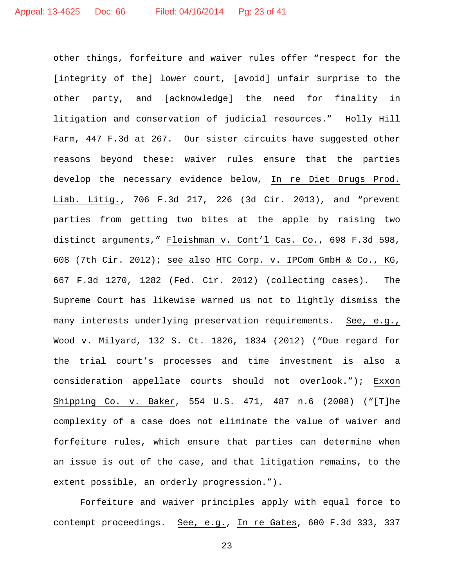other things, forfeiture and waiver rules offer "respect for the [integrity of the] lower court, [avoid] unfair surprise to the other party, and [acknowledge] the need for finality in litigation and conservation of judicial resources." Holly Hill Farm, 447 F.3d at 267. Our sister circuits have suggested other reasons beyond these: waiver rules ensure that the parties develop the necessary evidence below, In re Diet Drugs Prod. Liab. Litig., 706 F.3d 217, 226 (3d Cir. 2013), and "prevent parties from getting two bites at the apple by raising two distinct arguments," Fleishman v. Cont'l Cas. Co., 698 F.3d 598, 608 (7th Cir. 2012); see also HTC Corp. v. IPCom GmbH & Co., KG, 667 F.3d 1270, 1282 (Fed. Cir. 2012) (collecting cases). The Supreme Court has likewise warned us not to lightly dismiss the many interests underlying preservation requirements. See, e.g., Wood v. Milyard, 132 S. Ct. 1826, 1834 (2012) ("Due regard for the trial court's processes and time investment is also a consideration appellate courts should not overlook."); Exxon Shipping Co. v. Baker, 554 U.S. 471, 487 n.6 (2008) ("[T]he complexity of a case does not eliminate the value of waiver and forfeiture rules, which ensure that parties can determine when an issue is out of the case, and that litigation remains, to the extent possible, an orderly progression.").

Forfeiture and waiver principles apply with equal force to contempt proceedings. See, e.g., In re Gates, 600 F.3d 333, 337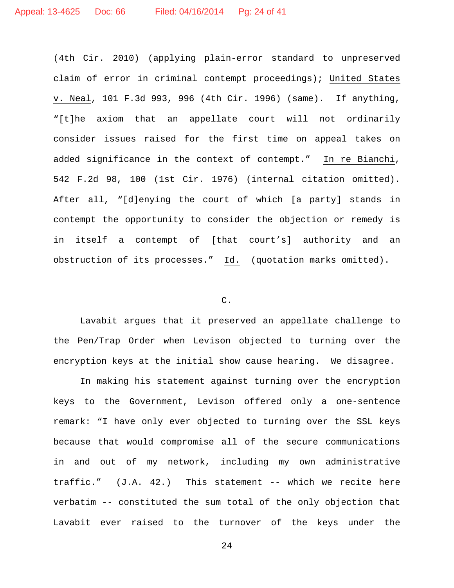(4th Cir. 2010) (applying plain-error standard to unpreserved claim of error in criminal contempt proceedings); United States v. Neal, 101 F.3d 993, 996 (4th Cir. 1996) (same). If anything, "[t]he axiom that an appellate court will not ordinarily consider issues raised for the first time on appeal takes on added significance in the context of contempt." In re Bianchi, 542 F.2d 98, 100 (1st Cir. 1976) (internal citation omitted). After all, "[d]enying the court of which [a party] stands in contempt the opportunity to consider the objection or remedy is in itself a contempt of [that court's] authority and an obstruction of its processes." Id. (quotation marks omitted).

### C.

Lavabit argues that it preserved an appellate challenge to the Pen/Trap Order when Levison objected to turning over the encryption keys at the initial show cause hearing. We disagree.

In making his statement against turning over the encryption keys to the Government, Levison offered only a one-sentence remark: "I have only ever objected to turning over the SSL keys because that would compromise all of the secure communications in and out of my network, including my own administrative traffic." (J.A. 42.) This statement -- which we recite here verbatim -- constituted the sum total of the only objection that Lavabit ever raised to the turnover of the keys under the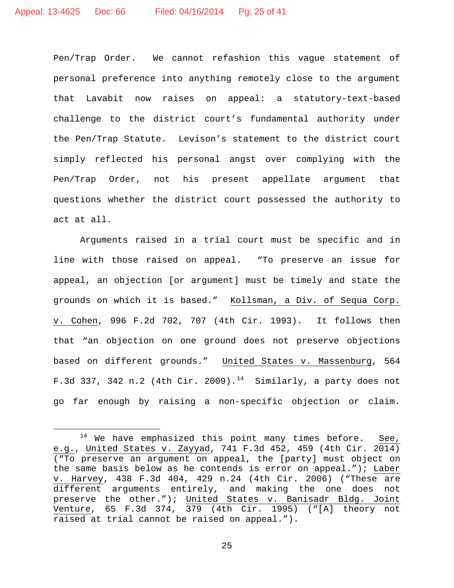Pen/Trap Order. We cannot refashion this vague statement of personal preference into anything remotely close to the argument that Lavabit now raises on appeal: a statutory-text-based challenge to the district court's fundamental authority under the Pen/Trap Statute. Levison's statement to the district court simply reflected his personal angst over complying with the Pen/Trap Order, not his present appellate argument that questions whether the district court possessed the authority to act at all.

Arguments raised in a trial court must be specific and in line with those raised on appeal. "To preserve an issue for appeal, an objection [or argument] must be timely and state the grounds on which it is based." Kollsman, a Div. of Sequa Corp. v. Cohen, 996 F.2d 702, 707 (4th Cir. 1993). It follows then that "an objection on one ground does not preserve objections based on different grounds." United States v. Massenburg, 564 F.3d 337, 342 n.2 (4th Cir. 2009).<sup>14</sup> Similarly, a party does not go far enough by raising a non-specific objection or claim.

 $14$  We have emphasized this point many times before. See, e.g., United States v. Zayyad, 741 F.3d 452, 459 (4th Cir. 2014) ("To preserve an argument on appeal, the [party] must object on the same basis below as he contends is error on appeal."); Laber v. Harvey, 438 F.3d 404, 429 n.24 (4th Cir. 2006) ("These are different arguments entirely, and making the one does not preserve the other."); United States v. Banisadr Bldg. Joint Venture, 65 F.3d 374, 379 (4th Cir. 1995) ("[A] theory not raised at trial cannot be raised on appeal.").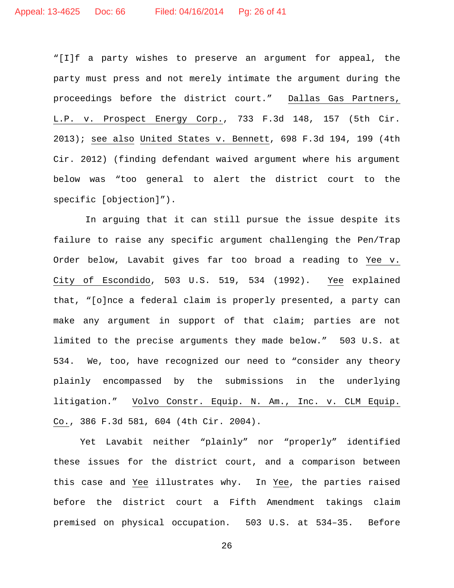"[I]f a party wishes to preserve an argument for appeal, the party must press and not merely intimate the argument during the proceedings before the district court." Dallas Gas Partners, L.P. v. Prospect Energy Corp., 733 F.3d 148, 157 (5th Cir. 2013); see also United States v. Bennett, 698 F.3d 194, 199 (4th Cir. 2012) (finding defendant waived argument where his argument below was "too general to alert the district court to the specific [objection]").

In arguing that it can still pursue the issue despite its failure to raise any specific argument challenging the Pen/Trap Order below, Lavabit gives far too broad a reading to Yee v. City of Escondido, 503 U.S. 519, 534 (1992). Yee explained that, "[o]nce a federal claim is properly presented, a party can make any argument in support of that claim; parties are not limited to the precise arguments they made below." 503 U.S. at 534. We, too, have recognized our need to "consider any theory plainly encompassed by the submissions in the underlying litigation." Volvo Constr. Equip. N. Am., Inc. v. CLM Equip. Co., 386 F.3d 581, 604 (4th Cir. 2004).

Yet Lavabit neither "plainly" nor "properly" identified these issues for the district court, and a comparison between this case and Yee illustrates why. In Yee, the parties raised before the district court a Fifth Amendment takings claim premised on physical occupation. 503 U.S. at 534–35. Before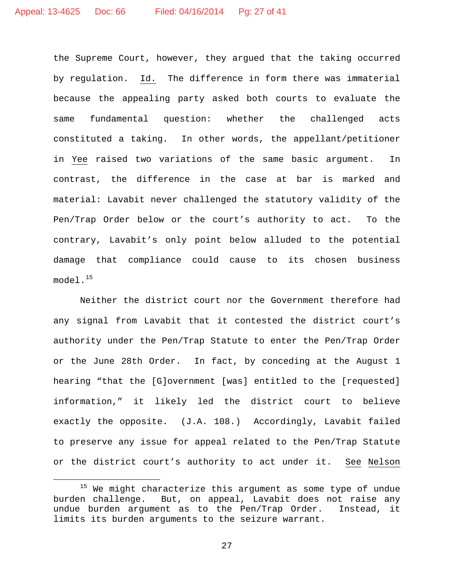the Supreme Court, however, they argued that the taking occurred by regulation. Id. The difference in form there was immaterial because the appealing party asked both courts to evaluate the same fundamental question: whether the challenged acts constituted a taking. In other words, the appellant/petitioner in Yee raised two variations of the same basic argument. In contrast, the difference in the case at bar is marked and material: Lavabit never challenged the statutory validity of the Pen/Trap Order below or the court's authority to act. To the contrary, Lavabit's only point below alluded to the potential damage that compliance could cause to its chosen business  $model.^{15}$ 

Neither the district court nor the Government therefore had any signal from Lavabit that it contested the district court's authority under the Pen/Trap Statute to enter the Pen/Trap Order or the June 28th Order. In fact, by conceding at the August 1 hearing "that the [G]overnment [was] entitled to the [requested] information," it likely led the district court to believe exactly the opposite. (J.A. 108.) Accordingly, Lavabit failed to preserve any issue for appeal related to the Pen/Trap Statute or the district court's authority to act under it. See Nelson

<sup>&</sup>lt;sup>15</sup> We might characterize this argument as some type of undue burden challenge. But, on appeal, Lavabit does not raise any undue burden argument as to the Pen/Trap Order. Instead, it limits its burden arguments to the seizure warrant.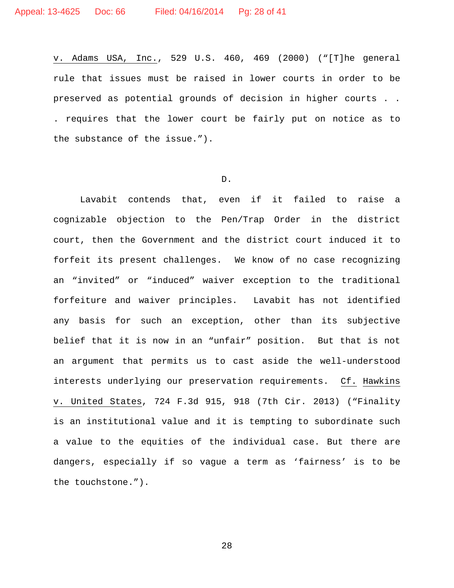v. Adams USA, Inc., 529 U.S. 460, 469 (2000) ("[T]he general rule that issues must be raised in lower courts in order to be preserved as potential grounds of decision in higher courts . . . requires that the lower court be fairly put on notice as to the substance of the issue.").

#### D.

Lavabit contends that, even if it failed to raise a cognizable objection to the Pen/Trap Order in the district court, then the Government and the district court induced it to forfeit its present challenges. We know of no case recognizing an "invited" or "induced" waiver exception to the traditional forfeiture and waiver principles. Lavabit has not identified any basis for such an exception, other than its subjective belief that it is now in an "unfair" position. But that is not an argument that permits us to cast aside the well-understood interests underlying our preservation requirements. Cf. Hawkins v. United States, 724 F.3d 915, 918 (7th Cir. 2013) ("Finality is an institutional value and it is tempting to subordinate such a value to the equities of the individual case. But there are dangers, especially if so vague a term as 'fairness' is to be the touchstone.").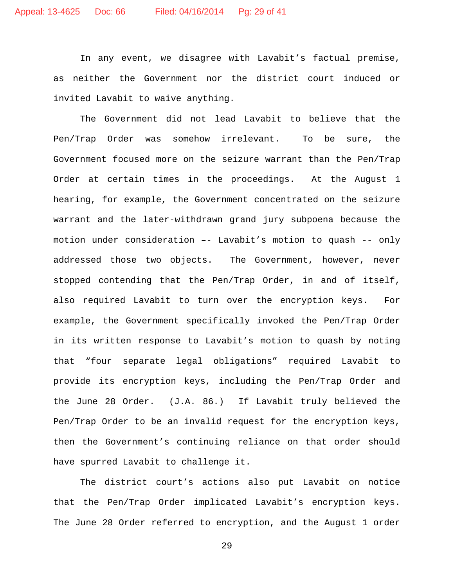In any event, we disagree with Lavabit's factual premise, as neither the Government nor the district court induced or invited Lavabit to waive anything.

The Government did not lead Lavabit to believe that the Pen/Trap Order was somehow irrelevant. To be sure, the Government focused more on the seizure warrant than the Pen/Trap Order at certain times in the proceedings. At the August 1 hearing, for example, the Government concentrated on the seizure warrant and the later-withdrawn grand jury subpoena because the motion under consideration –- Lavabit's motion to quash -- only addressed those two objects. The Government, however, never stopped contending that the Pen/Trap Order, in and of itself, also required Lavabit to turn over the encryption keys. For example, the Government specifically invoked the Pen/Trap Order in its written response to Lavabit's motion to quash by noting that "four separate legal obligations" required Lavabit to provide its encryption keys, including the Pen/Trap Order and the June 28 Order. (J.A. 86.) If Lavabit truly believed the Pen/Trap Order to be an invalid request for the encryption keys, then the Government's continuing reliance on that order should have spurred Lavabit to challenge it.

The district court's actions also put Lavabit on notice that the Pen/Trap Order implicated Lavabit's encryption keys. The June 28 Order referred to encryption, and the August 1 order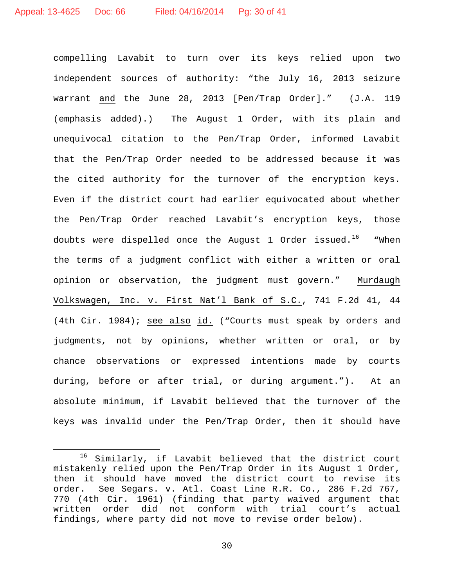compelling Lavabit to turn over its keys relied upon two independent sources of authority: "the July 16, 2013 seizure warrant and the June 28, 2013 [Pen/Trap Order]." (J.A. 119 (emphasis added).) The August 1 Order, with its plain and unequivocal citation to the Pen/Trap Order, informed Lavabit that the Pen/Trap Order needed to be addressed because it was the cited authority for the turnover of the encryption keys. Even if the district court had earlier equivocated about whether the Pen/Trap Order reached Lavabit's encryption keys, those doubts were dispelled once the August 1 Order issued.<sup>16</sup> "When the terms of a judgment conflict with either a written or oral opinion or observation, the judgment must govern." Murdaugh Volkswagen, Inc. v. First Nat'l Bank of S.C., 741 F.2d 41, 44 (4th Cir. 1984); see also id. ("Courts must speak by orders and judgments, not by opinions, whether written or oral, or by chance observations or expressed intentions made by courts during, before or after trial, or during argument."). At an absolute minimum, if Lavabit believed that the turnover of the keys was invalid under the Pen/Trap Order, then it should have

 <sup>16</sup> Similarly, if Lavabit believed that the district court mistakenly relied upon the Pen/Trap Order in its August 1 Order, then it should have moved the district court to revise its order. See Segars. v. Atl. Coast Line R.R. Co., 286 F.2d 767, 770 (4th Cir. 1961) (finding that party waived argument that<br>written order did not conform with trial court's actual written order did not conform with trial court's actual findings, where party did not move to revise order below).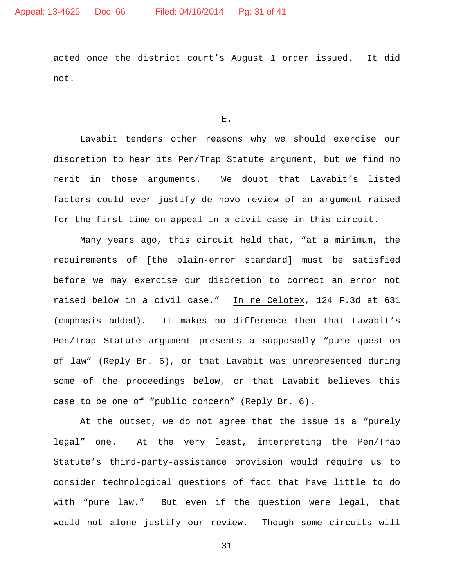acted once the district court's August 1 order issued. It did not.

E.

Lavabit tenders other reasons why we should exercise our discretion to hear its Pen/Trap Statute argument, but we find no merit in those arguments. We doubt that Lavabit's listed factors could ever justify de novo review of an argument raised for the first time on appeal in a civil case in this circuit.

Many years ago, this circuit held that, "at a minimum, the requirements of [the plain-error standard] must be satisfied before we may exercise our discretion to correct an error not raised below in a civil case." In re Celotex, 124 F.3d at 631 (emphasis added). It makes no difference then that Lavabit's Pen/Trap Statute argument presents a supposedly "pure question of law" (Reply Br. 6), or that Lavabit was unrepresented during some of the proceedings below, or that Lavabit believes this case to be one of "public concern" (Reply Br. 6).

At the outset, we do not agree that the issue is a "purely legal" one. At the very least, interpreting the Pen/Trap Statute's third-party-assistance provision would require us to consider technological questions of fact that have little to do with "pure law." But even if the question were legal, that would not alone justify our review. Though some circuits will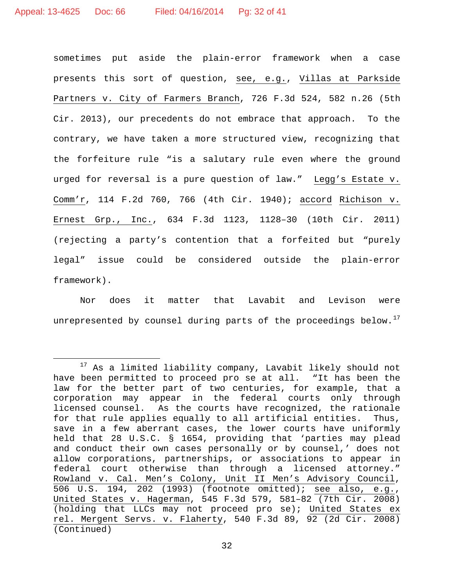sometimes put aside the plain-error framework when a case presents this sort of question, see, e.g., Villas at Parkside Partners v. City of Farmers Branch, 726 F.3d 524, 582 n.26 (5th Cir. 2013), our precedents do not embrace that approach. To the contrary, we have taken a more structured view, recognizing that the forfeiture rule "is a salutary rule even where the ground urged for reversal is a pure question of law." Legg's Estate v. Comm'r, 114 F.2d 760, 766 (4th Cir. 1940); accord Richison v. Ernest Grp., Inc., 634 F.3d 1123, 1128–30 (10th Cir. 2011) (rejecting a party's contention that a forfeited but "purely legal" issue could be considered outside the plain-error framework).

Nor does it matter that Lavabit and Levison were unrepresented by counsel during parts of the proceedings below.<sup>17</sup>

<sup>&</sup>lt;sup>17</sup> As a limited liability company, Lavabit likely should not have been permitted to proceed pro se at all. "It has been the law for the better part of two centuries, for example, that a corporation may appear in the federal courts only through licensed counsel. As the courts have recognized, the rationale for that rule applies equally to all artificial entities. Thus, save in a few aberrant cases, the lower courts have uniformly held that 28 U.S.C. § 1654, providing that 'parties may plead and conduct their own cases personally or by counsel,' does not allow corporations, partnerships, or associations to appear in federal court otherwise than through a licensed attorney." Rowland v. Cal. Men's Colony, Unit II Men's Advisory Council, 506 U.S. 194, 202 (1993) (footnote omitted); see also, e.g., United States v. Hagerman, 545 F.3d 579, 581–82 (7th Cir. 2008) (holding that LLCs may not proceed pro se); United States ex rel. Mergent Servs. v. Flaherty, 540 F.3d 89, 92 (2d Cir. 2008) (Continued)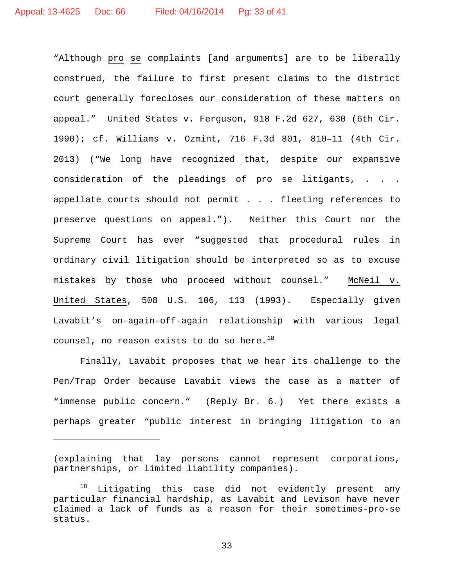"Although pro se complaints [and arguments] are to be liberally construed, the failure to first present claims to the district court generally forecloses our consideration of these matters on appeal." United States v. Ferguson, 918 F.2d 627, 630 (6th Cir. 1990); cf. Williams v. Ozmint, 716 F.3d 801, 810–11 (4th Cir. 2013) ("We long have recognized that, despite our expansive consideration of the pleadings of pro se litigants, . . . appellate courts should not permit . . . fleeting references to preserve questions on appeal."). Neither this Court nor the Supreme Court has ever "suggested that procedural rules in ordinary civil litigation should be interpreted so as to excuse mistakes by those who proceed without counsel." McNeil v. United States, 508 U.S. 106, 113 (1993). Especially given Lavabit's on-again-off-again relationship with various legal counsel, no reason exists to do so here. $^{18}$ 

Finally, Lavabit proposes that we hear its challenge to the Pen/Trap Order because Lavabit views the case as a matter of "immense public concern." (Reply Br. 6.) Yet there exists a perhaps greater "public interest in bringing litigation to an

Ĩ.

<sup>(</sup>explaining that lay persons cannot represent corporations, partnerships, or limited liability companies).

 $18$  Litigating this case did not evidently present any particular financial hardship, as Lavabit and Levison have never claimed a lack of funds as a reason for their sometimes-pro-se status.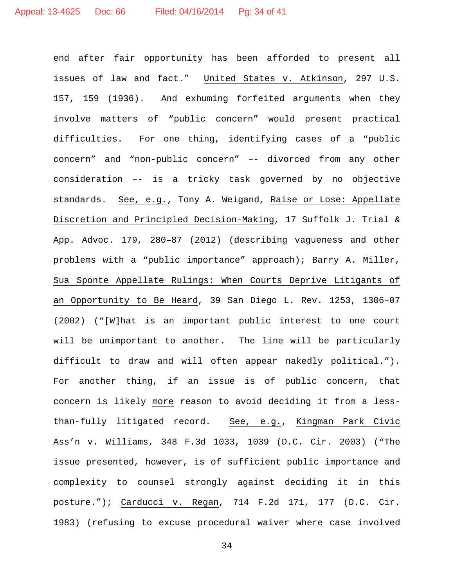end after fair opportunity has been afforded to present all issues of law and fact." United States v. Atkinson, 297 U.S. 157, 159 (1936). And exhuming forfeited arguments when they involve matters of "public concern" would present practical difficulties. For one thing, identifying cases of a "public concern" and "non-public concern" –- divorced from any other consideration –- is a tricky task governed by no objective standards. See, e.g., Tony A. Weigand, Raise or Lose: Appellate Discretion and Principled Decision-Making, 17 Suffolk J. Trial & App. Advoc. 179, 280–87 (2012) (describing vagueness and other problems with a "public importance" approach); Barry A. Miller, Sua Sponte Appellate Rulings: When Courts Deprive Litigants of an Opportunity to Be Heard, 39 San Diego L. Rev. 1253, 1306–07 (2002) ("[W]hat is an important public interest to one court will be unimportant to another. The line will be particularly difficult to draw and will often appear nakedly political."). For another thing, if an issue is of public concern, that concern is likely more reason to avoid deciding it from a lessthan-fully litigated record. See, e.g., Kingman Park Civic Ass'n v. Williams, 348 F.3d 1033, 1039 (D.C. Cir. 2003) ("The issue presented, however, is of sufficient public importance and complexity to counsel strongly against deciding it in this posture."); Carducci v. Regan, 714 F.2d 171, 177 (D.C. Cir. 1983) (refusing to excuse procedural waiver where case involved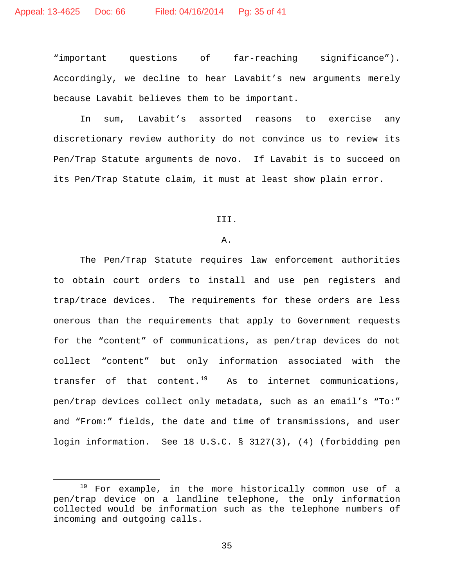"important questions of far-reaching significance"). Accordingly, we decline to hear Lavabit's new arguments merely because Lavabit believes them to be important.

In sum, Lavabit's assorted reasons to exercise any discretionary review authority do not convince us to review its Pen/Trap Statute arguments de novo. If Lavabit is to succeed on its Pen/Trap Statute claim, it must at least show plain error.

III.

## A.

The Pen/Trap Statute requires law enforcement authorities to obtain court orders to install and use pen registers and trap/trace devices. The requirements for these orders are less onerous than the requirements that apply to Government requests for the "content" of communications, as pen/trap devices do not collect "content" but only information associated with the transfer of that content.<sup>19</sup> As to internet communications, pen/trap devices collect only metadata, such as an email's "To:" and "From:" fields, the date and time of transmissions, and user login information. See 18 U.S.C. § 3127(3), (4) (forbidding pen

<sup>&</sup>lt;sup>19</sup> For example, in the more historically common use of a pen/trap device on a landline telephone, the only information collected would be information such as the telephone numbers of incoming and outgoing calls.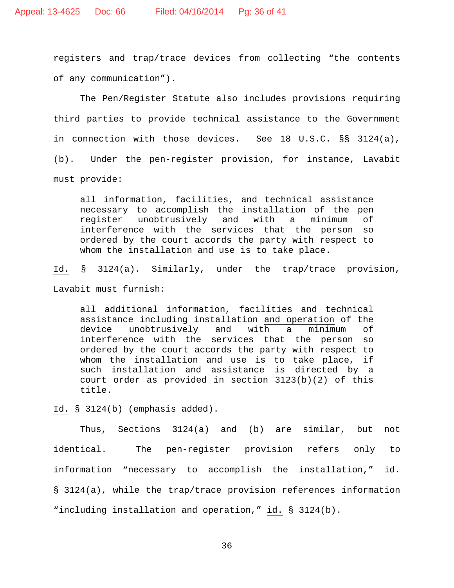registers and trap/trace devices from collecting "the contents of any communication").

The Pen/Register Statute also includes provisions requiring third parties to provide technical assistance to the Government in connection with those devices. See 18 U.S.C. §§ 3124(a), (b). Under the pen-register provision, for instance, Lavabit must provide:

all information, facilities, and technical assistance necessary to accomplish the installation of the pen register unobtrusively and with a minimum of interference with the services that the person so ordered by the court accords the party with respect to whom the installation and use is to take place.

Id. § 3124(a). Similarly, under the trap/trace provision,

Lavabit must furnish:

all additional information, facilities and technical assistance including installation and operation of the<br>device unobtrusively and with a minimum of unobtrusively interference with the services that the person so ordered by the court accords the party with respect to whom the installation and use is to take place, if such installation and assistance is directed by a court order as provided in section  $3123(b)(2)$  of this title.

Id. § 3124(b) (emphasis added).

Thus, Sections 3124(a) and (b) are similar, but not identical. The pen-register provision refers only to information "necessary to accomplish the installation," id. § 3124(a), while the trap/trace provision references information "including installation and operation," id. § 3124(b).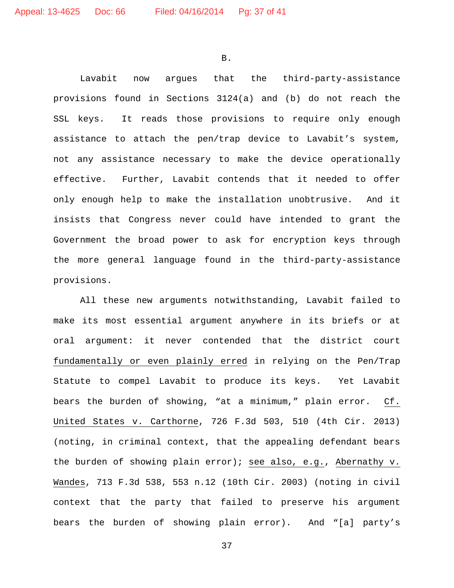B.

Lavabit now argues that the third-party-assistance provisions found in Sections 3124(a) and (b) do not reach the SSL keys. It reads those provisions to require only enough assistance to attach the pen/trap device to Lavabit's system, not any assistance necessary to make the device operationally effective. Further, Lavabit contends that it needed to offer only enough help to make the installation unobtrusive. And it insists that Congress never could have intended to grant the Government the broad power to ask for encryption keys through the more general language found in the third-party-assistance provisions.

All these new arguments notwithstanding, Lavabit failed to make its most essential argument anywhere in its briefs or at oral argument: it never contended that the district court fundamentally or even plainly erred in relying on the Pen/Trap Statute to compel Lavabit to produce its keys. Yet Lavabit bears the burden of showing, "at a minimum," plain error. Cf. United States v. Carthorne, 726 F.3d 503, 510 (4th Cir. 2013) (noting, in criminal context, that the appealing defendant bears the burden of showing plain error); see also, e.g., Abernathy v. Wandes, 713 F.3d 538, 553 n.12 (10th Cir. 2003) (noting in civil context that the party that failed to preserve his argument bears the burden of showing plain error). And "[a] party's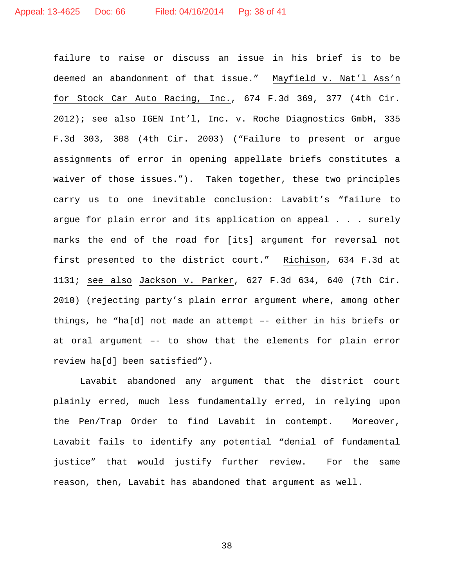failure to raise or discuss an issue in his brief is to be deemed an abandonment of that issue." Mayfield v. Nat'l Ass'n for Stock Car Auto Racing, Inc., 674 F.3d 369, 377 (4th Cir. 2012); see also IGEN Int'l, Inc. v. Roche Diagnostics GmbH, 335 F.3d 303, 308 (4th Cir. 2003) ("Failure to present or argue assignments of error in opening appellate briefs constitutes a waiver of those issues."). Taken together, these two principles carry us to one inevitable conclusion: Lavabit's "failure to argue for plain error and its application on appeal . . . surely marks the end of the road for [its] argument for reversal not first presented to the district court." Richison, 634 F.3d at 1131; see also Jackson v. Parker, 627 F.3d 634, 640 (7th Cir. 2010) (rejecting party's plain error argument where, among other things, he "ha[d] not made an attempt –- either in his briefs or at oral argument –- to show that the elements for plain error review ha[d] been satisfied").

Lavabit abandoned any argument that the district court plainly erred, much less fundamentally erred, in relying upon the Pen/Trap Order to find Lavabit in contempt. Moreover, Lavabit fails to identify any potential "denial of fundamental justice" that would justify further review. For the same reason, then, Lavabit has abandoned that argument as well.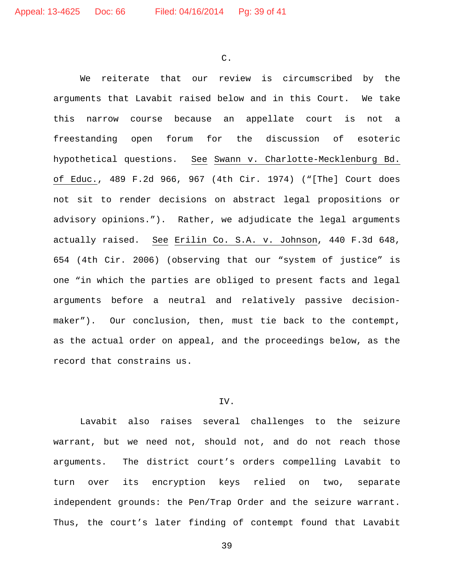C.

We reiterate that our review is circumscribed by the arguments that Lavabit raised below and in this Court. We take this narrow course because an appellate court is not a freestanding open forum for the discussion of esoteric hypothetical questions. See Swann v. Charlotte-Mecklenburg Bd. of Educ., 489 F.2d 966, 967 (4th Cir. 1974) ("[The] Court does not sit to render decisions on abstract legal propositions or advisory opinions."). Rather, we adjudicate the legal arguments actually raised. See Erilin Co. S.A. v. Johnson, 440 F.3d 648, 654 (4th Cir. 2006) (observing that our "system of justice" is one "in which the parties are obliged to present facts and legal arguments before a neutral and relatively passive decisionmaker"). Our conclusion, then, must tie back to the contempt, as the actual order on appeal, and the proceedings below, as the record that constrains us.

#### IV.

Lavabit also raises several challenges to the seizure warrant, but we need not, should not, and do not reach those arguments. The district court's orders compelling Lavabit to turn over its encryption keys relied on two, separate independent grounds: the Pen/Trap Order and the seizure warrant. Thus, the court's later finding of contempt found that Lavabit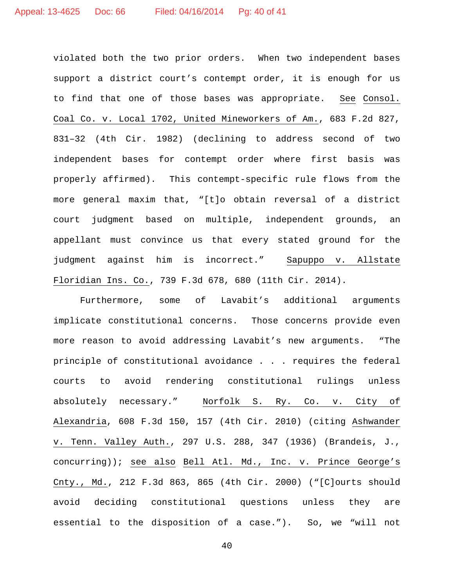violated both the two prior orders. When two independent bases support a district court's contempt order, it is enough for us to find that one of those bases was appropriate. See Consol. Coal Co. v. Local 1702, United Mineworkers of Am., 683 F.2d 827, 831–32 (4th Cir. 1982) (declining to address second of two independent bases for contempt order where first basis was properly affirmed). This contempt-specific rule flows from the more general maxim that, "[t]o obtain reversal of a district court judgment based on multiple, independent grounds, an appellant must convince us that every stated ground for the judgment against him is incorrect." Sapuppo v. Allstate Floridian Ins. Co., 739 F.3d 678, 680 (11th Cir. 2014).

Furthermore, some of Lavabit's additional arguments implicate constitutional concerns. Those concerns provide even more reason to avoid addressing Lavabit's new arguments. "The principle of constitutional avoidance . . . requires the federal courts to avoid rendering constitutional rulings unless absolutely necessary." Norfolk S. Ry. Co. v. City of Alexandria, 608 F.3d 150, 157 (4th Cir. 2010) (citing Ashwander v. Tenn. Valley Auth., 297 U.S. 288, 347 (1936) (Brandeis, J., concurring)); see also Bell Atl. Md., Inc. v. Prince George's Cnty., Md., 212 F.3d 863, 865 (4th Cir. 2000) ("[C]ourts should avoid deciding constitutional questions unless they are essential to the disposition of a case."). So, we "will not